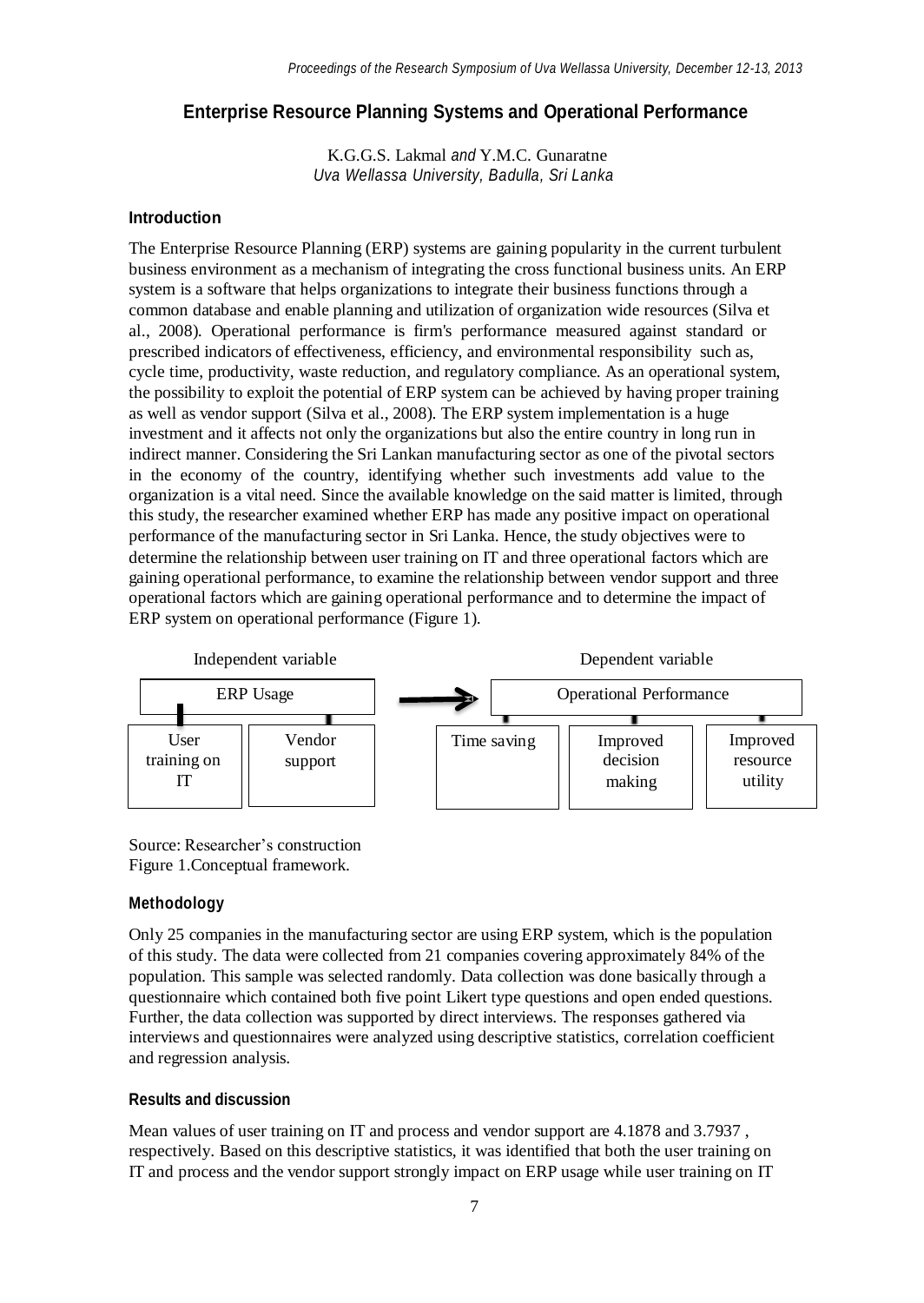# **Enterprise Resource Planning Systems and Operational Performance**

K.G.G.S. Lakmal *and* Y.M.C. Gunaratne *Uva Wellassa University, Badulla, Sri Lanka*

### **Introduction**

The Enterprise Resource Planning (ERP) systems are gaining popularity in the current turbulent business environment as a mechanism of integrating the cross functional business units. An ERP system is a software that helps organizations to integrate their business functions through a common database and enable planning and utilization of organization wide resources (Silva et al., 2008). Operational performance is firm's performance measured against standard or prescribed indicators of effectiveness, efficiency, and environmental responsibility such as, cycle time, productivity, waste reduction, and regulatory compliance. As an operational system, the possibility to exploit the potential of ERP system can be achieved by having proper training as well as vendor support (Silva et al., 2008). The ERP system implementation is a huge investment and it affects not only the organizations but also the entire country in long run in indirect manner. Considering the Sri Lankan manufacturing sector as one of the pivotal sectors in the economy of the country, identifying whether such investments add value to the organization is a vital need. Since the available knowledge on the said matter is limited, through this study, the researcher examined whether ERP has made any positive impact on operational performance of the manufacturing sector in Sri Lanka. Hence, the study objectives were to determine the relationship between user training on IT and three operational factors which are gaining operational performance, to examine the relationship between vendor support and three operational factors which are gaining operational performance and to determine the impact of ERP system on operational performance (Figure 1).



Source: Researcher's construction Figure 1.Conceptual framework.

## **Methodology**

Only 25 companies in the manufacturing sector are using ERP system, which is the population of this study. The data were collected from 21 companies covering approximately 84% of the population. This sample was selected randomly. Data collection was done basically through a questionnaire which contained both five point Likert type questions and open ended questions. Further, the data collection was supported by direct interviews. The responses gathered via interviews and questionnaires were analyzed using descriptive statistics, correlation coefficient and regression analysis.

## **Results and discussion**

Mean values of user training on IT and process and vendor support are 4.1878 and 3.7937 , respectively. Based on this descriptive statistics, it was identified that both the user training on IT and process and the vendor support strongly impact on ERP usage while user training on IT